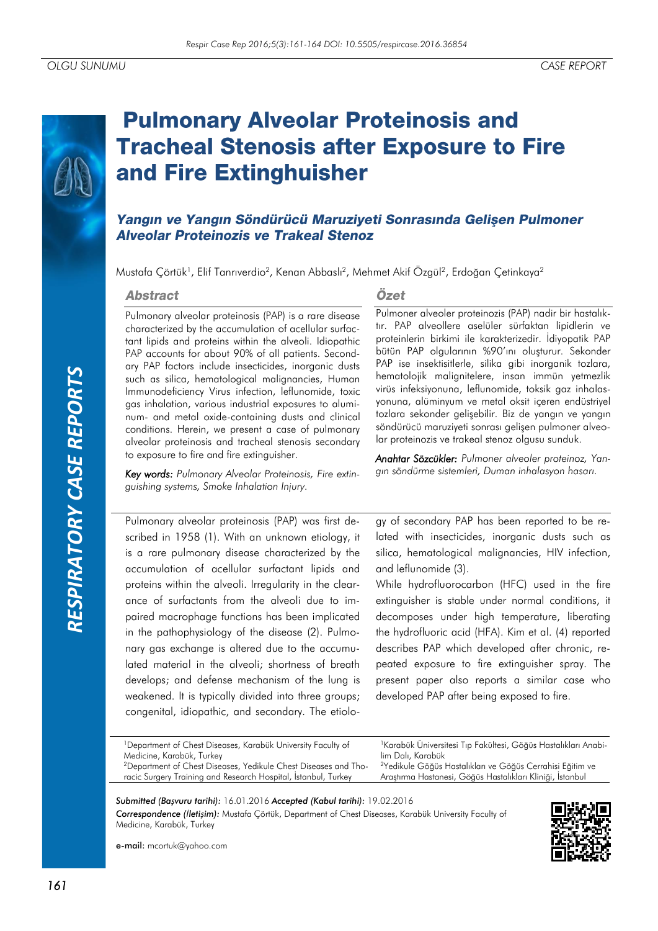# *RESPIRATORY CASE REPORTS*RESPIRATORY CASE REPORTS

# **Pulmonary Alveolar Proteinosis and Tracheal Stenosis after Exposure to Fire** and Fire Extinghuisher

# Yangın ve Yangın Söndürücü Maruziyeti Sonrasında Gelişen Pulmoner **Alveolar Proteinozis ve Trakeal Stenoz**

Mustafa Çörtük<sup>1</sup>, Elif Tanrıverdio<sup>2</sup>, Kenan Abbaslı<sup>2</sup>, Mehmet Akif Özgül<sup>2</sup>, Erdoğan Çetinkaya<sup>2</sup>

### **Abstract**

### Pulmonary alveolar proteinosis (PAP) is a rare disease characterized by the accumulation of acellular surfactant lipids and proteins within the alveoli. Idiopathic PAP accounts for about 90% of all patients. Secondary PAP factors include insecticides, inorganic dusts such as silica, hematological malignancies, Human Immunodeficiency Virus infection, leflunomide, toxic gas inhalation, various industrial exposures to aluminum- and metal oxide-containing dusts and clinical conditions. Herein, we present a case of pulmonary alveolar proteinosis and tracheal stenosis secondary to exposure to fire and fire extinguisher.

*Key words: Pulmonary Alveolar Proteinosis, Fire extinguishing systems, Smoke Inhalation Injury.*

# Özet

Pulmoner alveoler proteinozis (PAP) nadir bir hastalıktır. PAP alveollere aselüler sürfaktan lipidlerin ve proteinlerin birkimi ile karakterizedir. İdiyopatik PAP bütün PAP olgularının %90'ını oluşturur. Sekonder PAP ise insektisitlerle, silika gibi inorganik tozlara, hematolojik malignitelere, insan immün yetmezlik virüs infeksiyonuna, leflunomide, toksik gaz inhalasyonuna, alüminyum ve metal oksit içeren endüstriyel tozlara sekonder gelişebilir. Biz de yangın ve yangın söndürücü maruziyeti sonrası gelişen pulmoner alveolar proteinozis ve trakeal stenoz olgusu sunduk.

*Anahtar Sözcükler: Pulmoner alveoler proteinoz, Yangın söndürme sistemleri, Duman inhalasyon hasarı.*

Pulmonary alveolar proteinosis (PAP) was first described in 1958 (1). With an unknown etiology, it is a rare pulmonary disease characterized by the accumulation of acellular surfactant lipids and proteins within the alveoli. Irregularity in the clearance of surfactants from the alveoli due to impaired macrophage functions has been implicated in the pathophysiology of the disease (2). Pulmonary gas exchange is altered due to the accumulated material in the alveoli; shortness of breath develops; and defense mechanism of the lung is weakened. It is typically divided into three groups; congenital, idiopathic, and secondary. The etiology of secondary PAP has been reported to be related with insecticides, inorganic dusts such as silica, hematological malignancies, HIV infection, and leflunomide (3).

While hydrofluorocarbon (HFC) used in the fire extinguisher is stable under normal conditions, it decomposes under high temperature, liberating the hydrofluoric acid (HFA). Kim et al. (4) reported describes PAP which developed after chronic, repeated exposure to fire extinguisher spray. The present paper also reports a similar case who developed PAP after being exposed to fire.

<sup>1</sup>Department of Chest Diseases, Karabük University Faculty of Medicine, Karabük, Turkey 2Department of Chest Diseases, Yedikule Chest Diseases and Tho-

<sup>1</sup> Karabük Üniversitesi Tıp Fakültesi, Göğüs Hastalıkları Anabilim Dalı, Karabük <sup>2</sup>Yedikule Göğüs Hastalıkları ve Göğüs Cerrahisi Eğitim ve Araştırma Hastanesi, Göğüs Hastalıkları Kliniği, İstanbul

racic Surgery Training and Research Hospital, İstanbul, Turkey *Submitted (Başvuru tarihi):* 16.01.2016 *Accepted (Kabul tarihi):* 19.02.2016

*Correspondence (İletişim):* Mustafa Çörtük, Department of Chest Diseases, Karabük University Faculty of Medicine, Karabük, Turkey



e-mail: mcortuk@yahoo.com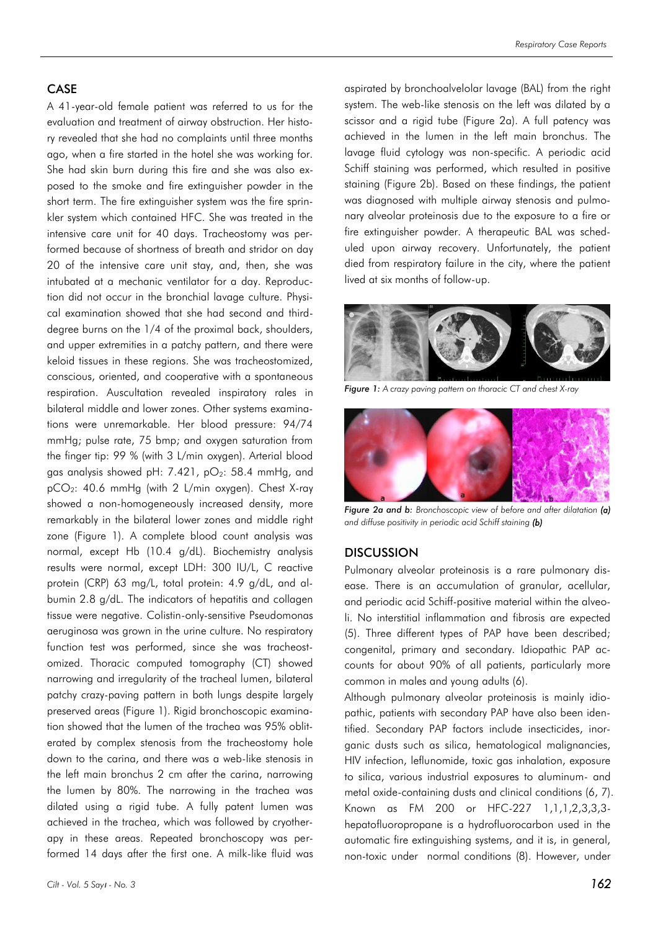### CASE

A 41-year-old female patient was referred to us for the evaluation and treatment of airway obstruction. Her history revealed that she had no complaints until three months ago, when a fire started in the hotel she was working for. She had skin burn during this fire and she was also exposed to the smoke and fire extinguisher powder in the short term. The fire extinguisher system was the fire sprinkler system which contained HFC. She was treated in the intensive care unit for 40 days. Tracheostomy was performed because of shortness of breath and stridor on day 20 of the intensive care unit stay, and, then, she was intubated at a mechanic ventilator for a day. Reproduction did not occur in the bronchial lavage culture. Physical examination showed that she had second and thirddegree burns on the 1/4 of the proximal back, shoulders, and upper extremities in a patchy pattern, and there were keloid tissues in these regions. She was tracheostomized, conscious, oriented, and cooperative with a spontaneous respiration. Auscultation revealed inspiratory rales in bilateral middle and lower zones. Other systems examinations were unremarkable. Her blood pressure: 94/74 mmHg; pulse rate, 75 bmp; and oxygen saturation from the finger tip: 99 % (with 3 L/min oxygen). Arterial blood gas analysis showed pH: 7.421,  $pO_2$ : 58.4 mmHg, and pCO2: 40.6 mmHg (with 2 L/min oxygen). Chest X-ray showed a non-homogeneously increased density, more remarkably in the bilateral lower zones and middle right zone (Figure 1). A complete blood count analysis was normal, except Hb (10.4 g/dL). Biochemistry analysis results were normal, except LDH: 300 IU/L, C reactive protein (CRP) 63 mg/L, total protein: 4.9 g/dL, and albumin 2.8 g/dL. The indicators of hepatitis and collagen tissue were negative. Colistin-only-sensitive Pseudomonas aeruginosa was grown in the urine culture. No respiratory function test was performed, since she was tracheostomized. Thoracic computed tomography (CT) showed narrowing and irregularity of the tracheal lumen, bilateral patchy crazy-paving pattern in both lungs despite largely preserved areas (Figure 1). Rigid bronchoscopic examination showed that the lumen of the trachea was 95% obliterated by complex stenosis from the tracheostomy hole down to the carina, and there was a web-like stenosis in the left main bronchus 2 cm after the carina, narrowing the lumen by 80%. The narrowing in the trachea was dilated using a rigid tube. A fully patent lumen was achieved in the trachea, which was followed by cryotherapy in these areas. Repeated bronchoscopy was performed 14 days after the first one. A milk-like fluid was

aspirated by bronchoalvelolar lavage (BAL) from the right system. The web-like stenosis on the left was dilated by a scissor and a rigid tube (Figure 2a). A full patency was achieved in the lumen in the left main bronchus. The lavage fluid cytology was non-specific. A periodic acid Schiff staining was performed, which resulted in positive staining (Figure 2b). Based on these findings, the patient was diagnosed with multiple airway stenosis and pulmonary alveolar proteinosis due to the exposure to a fire or fire extinguisher powder. A therapeutic BAL was scheduled upon airway recovery. Unfortunately, the patient died from respiratory failure in the city, where the patient lived at six months of follow-up.



*Figure 1: A crazy paving pattern on thoracic CT and chest X-ray*



*Figure 2a and b: Bronchoscopic view of before and after dilatation (a) and diffuse positivity in periodic acid Schiff staining (b)*

### **DISCUSSION**

Pulmonary alveolar proteinosis is a rare pulmonary disease. There is an accumulation of granular, acellular, and periodic acid Schiff-positive material within the alveoli. No interstitial inflammation and fibrosis are expected (5). Three different types of PAP have been described; congenital, primary and secondary. Idiopathic PAP accounts for about 90% of all patients, particularly more common in males and young adults (6).

Although pulmonary alveolar proteinosis is mainly idiopathic, patients with secondary PAP have also been identified. Secondary PAP factors include insecticides, inorganic dusts such as silica, hematological malignancies, HIV infection, leflunomide, toxic gas inhalation, exposure to silica, various industrial exposures to aluminum- and metal oxide-containing dusts and clinical conditions (6, 7). Known as FM 200 or HFC-227 1,1,1,2,3,3,3 hepatofluoropropane is a hydrofluorocarbon used in the automatic fire extinguishing systems, and it is, in general, non-toxic under normal conditions (8). However, under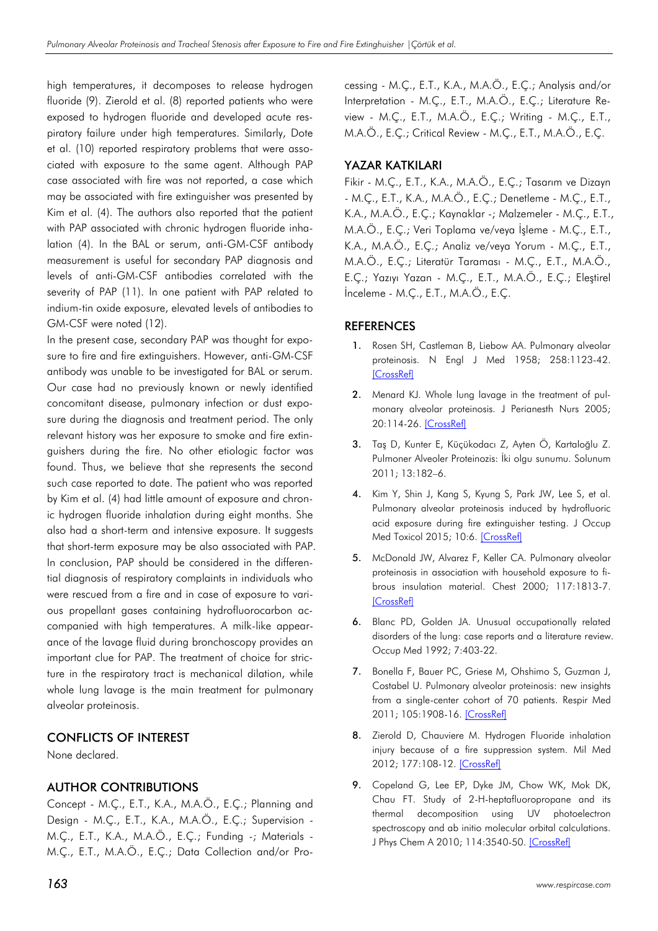high temperatures, it decomposes to release hydrogen fluoride (9). Zierold et al. (8) reported patients who were exposed to hydrogen fluoride and developed acute respiratory failure under high temperatures. Similarly, Dote et al. (10) reported respiratory problems that were associated with exposure to the same agent. Although PAP case associated with fire was not reported, a case which may be associated with fire extinguisher was presented by Kim et al. (4). The authors also reported that the patient with PAP associated with chronic hydrogen fluoride inhalation (4). In the BAL or serum, anti-GM-CSF antibody measurement is useful for secondary PAP diagnosis and levels of anti-GM-CSF antibodies correlated with the severity of PAP (11). In one patient with PAP related to indium-tin oxide exposure, elevated levels of antibodies to GM-CSF were noted (12).

In the present case, secondary PAP was thought for exposure to fire and fire extinguishers. However, anti-GM-CSF antibody was unable to be investigated for BAL or serum. Our case had no previously known or newly identified concomitant disease, pulmonary infection or dust exposure during the diagnosis and treatment period. The only relevant history was her exposure to smoke and fire extinguishers during the fire. No other etiologic factor was found. Thus, we believe that she represents the second such case reported to date. The patient who was reported by Kim et al. (4) had little amount of exposure and chronic hydrogen fluoride inhalation during eight months. She also had a short-term and intensive exposure. It suggests that short-term exposure may be also associated with PAP. In conclusion, PAP should be considered in the differential diagnosis of respiratory complaints in individuals who were rescued from a fire and in case of exposure to various propellant gases containing hydrofluorocarbon accompanied with high temperatures. A milk-like appearance of the lavage fluid during bronchoscopy provides an important clue for PAP. The treatment of choice for stricture in the respiratory tract is mechanical dilation, while whole lung lavage is the main treatment for pulmonary alveolar proteinosis.

### CONFLICTS OF INTEREST

None declared.

# AUTHOR CONTRIBUTIONS

Concept - M.Ç., E.T., K.A., M.A.Ö., E.Ç.; Planning and Design - M.Ç., E.T., K.A., M.A.Ö., E.Ç.; Supervision - M.Ç., E.T., K.A., M.A.Ö., E.Ç.; Funding -; Materials - M.Ç., E.T., M.A.Ö., E.Ç.; Data Collection and/or Processing - M.Ç., E.T., K.A., M.A.Ö., E.Ç.; Analysis and/or Interpretation - M.Ç., E.T., M.A.Ö., E.Ç.; Literature Review - M.Ç., E.T., M.A.Ö., E.Ç.; Writing - M.Ç., E.T., M.A.Ö., E.Ç.; Critical Review - M.Ç., E.T., M.A.Ö., E.Ç.

# YAZAR KATKILARI

Fikir - M.Ç., E.T., K.A., M.A.Ö., E.Ç.; Tasarım ve Dizayn - M.Ç., E.T., K.A., M.A.Ö., E.Ç.; Denetleme - M.Ç., E.T., K.A., M.A.Ö., E.Ç.; Kaynaklar -; Malzemeler - M.Ç., E.T., M.A.Ö., E.Ç.; Veri Toplama ve/veya İşleme - M.Ç., E.T., K.A., M.A.Ö., E.Ç.; Analiz ve/veya Yorum - M.Ç., E.T., M.A.Ö., E.Ç.; Literatür Taraması - M.Ç., E.T., M.A.Ö., E.Ç.; Yazıyı Yazan - M.Ç., E.T., M.A.Ö., E.Ç.; Eleştirel İnceleme - M.Ç., E.T., M.A.Ö., E.Ç.

# **REFERENCES**

- 1. Rosen SH, Castleman B, Liebow AA. Pulmonary alveolar proteinosis. N Engl J Med 1958; 258:1123-42. [\[CrossRef\]](http://dx.doi.org/10.1056/NEJM195806052582301)
- 2. Menard KJ. Whole lung lavage in the treatment of pulmonary alveolar proteinosis. J Perianesth Nurs 2005; 20:114-26. [\[CrossRef\]](http://dx.doi.org/10.1016/j.jopan.2005.01.005)
- 3. Taş D, Kunter E, Küçükodacı Z, Ayten Ö, Kartaloğlu Z. Pulmoner Alveoler Proteinozis: İki olgu sunumu. Solunum 2011; 13:182–6.
- 4. Kim Y, Shin J, Kang S, Kyung S, Park JW, Lee S, et al. Pulmonary alveolar proteinosis induced by hydrofluoric acid exposure during fire extinguisher testing. J Occup Med Toxicol 2015; 10:6. [\[CrossRef\]](http://dx.doi.org/10.1186/s12995-015-0048-7)
- 5. McDonald JW, Alvarez F, Keller CA. Pulmonary alveolar proteinosis in association with household exposure to fibrous insulation material. Chest 2000; 117:1813-7. [\[CrossRef\]](http://dx.doi.org/10.1378/chest.117.6.1813)
- 6. Blanc PD, Golden JA. Unusual occupationally related disorders of the lung: case reports and a literature review. Occup Med 1992; 7:403-22.
- 7. Bonella F, Bauer PC, Griese M, Ohshimo S, Guzman J, Costabel U. Pulmonary alveolar proteinosis: new insights from a single-center cohort of 70 patients. Respir Med 2011; 105:1908-16. [\[CrossRef\]](http://dx.doi.org/10.1016/j.rmed.2011.08.018)
- 8. Zierold D, Chauviere M. Hydrogen Fluoride inhalation injury because of a fire suppression system. Mil Med 2012; 177:108-12. [\[CrossRef\]](http://dx.doi.org/10.7205/MILMED-D-11-00165)
- 9. Copeland G, Lee EP, Dyke JM, Chow WK, Mok DK, Chau FT. Study of 2-H-heptafluoropropane and its thermal decomposition using UV photoelectron spectroscopy and ab initio molecular orbital calculations. J Phys Chem A 2010; 114:3540-50. [\[CrossRef\]](http://dx.doi.org/10.1021/jp1000607)